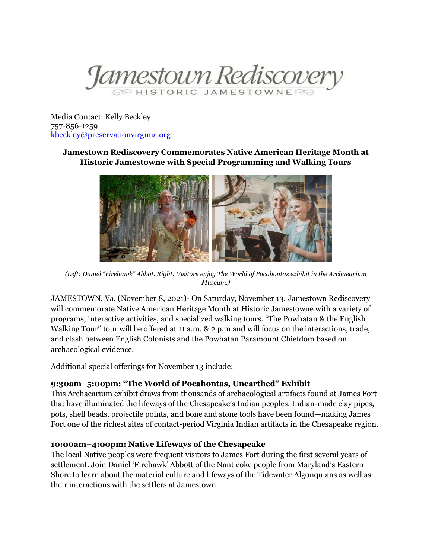

Media Contact: Kelly Beckley 757-856-1259 [kbeckley@preservationvirginia.org](mailto:kbeckley@preservationvirginia.org)

# **Jamestown Rediscovery Commemorates Native American Heritage Month at Historic Jamestowne with Special Programming and Walking Tours**



*(Left: Daniel "Firehawk" Abbot. Right: Visitors enjoy The World of Pocahontas exhibit in the Archaearium Museum.)*

JAMESTOWN, Va. (November 8, 2021)- On Saturday, November 13, Jamestown Rediscovery will commemorate Native American Heritage Month at Historic Jamestowne with a variety of programs, interactive activities, and specialized walking tours. "The Powhatan & the English Walking Tour" tour will be offered at 11 a.m. & 2 p.m and will focus on the interactions, trade, and clash between English Colonists and the Powhatan Paramount Chiefdom based on archaeological evidence.

Additional special offerings for November 13 include:

## **9:30am–5:00pm: "The World of Pocahontas, Unearthed" Exhibi**t

This Archaearium exhibit draws from thousands of archaeological artifacts found at James Fort that have illuminated the lifeways of the Chesapeake's Indian peoples. Indian-made clay pipes, pots, shell beads, projectile points, and bone and stone tools have been found—making James Fort one of the richest sites of contact-period Virginia Indian artifacts in the Chesapeake region.

## **10:00am–4:00pm: Native Lifeways of the Chesapeake**

The local Native peoples were frequent visitors to James Fort during the first several years of settlement. Join Daniel 'Firehawk' Abbott of the Nanticoke people from Maryland's Eastern Shore to learn about the material culture and lifeways of the Tidewater Algonquians as well as their interactions with the settlers at Jamestown.